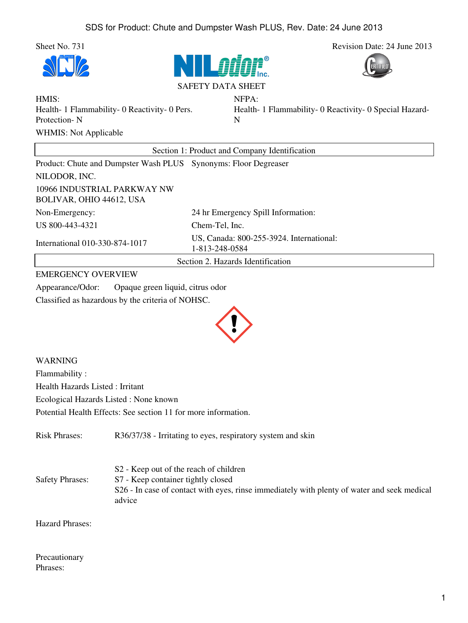Sheet No. 731 Revision Date: 24 June 2013







## SAFETY DATA SHEET

NFPA:

HMIS: Health- 1 Flammability- 0 Reactivity- 0 Pers. Protection- N WHMIS: Not Applicable

Health- 1 Flammability- 0 Reactivity- 0 Special Hazard-N

| Section 1: Product and Company Identification                   |                                                            |  |
|-----------------------------------------------------------------|------------------------------------------------------------|--|
| Product: Chute and Dumpster Wash PLUS Synonyms: Floor Degreaser |                                                            |  |
| NILODOR, INC.                                                   |                                                            |  |
| 10966 INDUSTRIAL PARKWAY NW<br>BOLIVAR, OHIO 44612, USA         |                                                            |  |
| Non-Emergency:                                                  | 24 hr Emergency Spill Information:                         |  |
| US 800-443-4321                                                 | Chem-Tel, Inc.                                             |  |
| International 010-330-874-1017                                  | US, Canada: 800-255-3924. International:<br>1-813-248-0584 |  |
|                                                                 | Section 2. Hazards Identification                          |  |

## EMERGENCY OVERVIEW

Appearance/Odor: Opaque green liquid, citrus odor Classified as hazardous by the criteria of NOHSC.



WARNING Flammability : Health Hazards Listed : Irritant Ecological Hazards Listed : None known Potential Health Effects: See section 11 for more information.

Risk Phrases: R36/37/38 - Irritating to eyes, respiratory system and skin Safety Phrases: S2 - Keep out of the reach of children S7 - Keep container tightly closed S26 - In case of contact with eyes, rinse immediately with plenty of water and seek medical advice

Hazard Phrases:

Precautionary Phrases: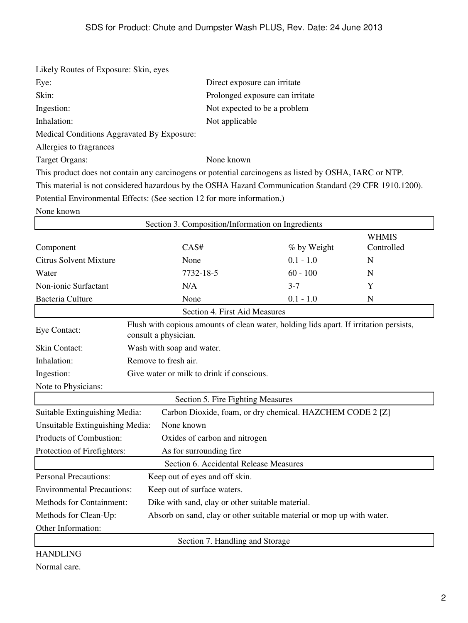| Likely Routes of Exposure: Skin, eyes                                                      |                                                                                                                |                                 |              |
|--------------------------------------------------------------------------------------------|----------------------------------------------------------------------------------------------------------------|---------------------------------|--------------|
| Eye:                                                                                       | Direct exposure can irritate                                                                                   |                                 |              |
| Skin:                                                                                      |                                                                                                                | Prolonged exposure can irritate |              |
| Ingestion:                                                                                 |                                                                                                                | Not expected to be a problem    |              |
| Inhalation:                                                                                | Not applicable                                                                                                 |                                 |              |
| Medical Conditions Aggravated By Exposure:                                                 |                                                                                                                |                                 |              |
| Allergies to fragrances                                                                    |                                                                                                                |                                 |              |
| <b>Target Organs:</b>                                                                      | None known                                                                                                     |                                 |              |
|                                                                                            | This product does not contain any carcinogens or potential carcinogens as listed by OSHA, IARC or NTP.         |                                 |              |
|                                                                                            | This material is not considered hazardous by the OSHA Hazard Communication Standard (29 CFR 1910.1200).        |                                 |              |
|                                                                                            | Potential Environmental Effects: (See section 12 for more information.)                                        |                                 |              |
| None known                                                                                 |                                                                                                                |                                 |              |
|                                                                                            | Section 3. Composition/Information on Ingredients                                                              |                                 |              |
|                                                                                            |                                                                                                                |                                 | <b>WHMIS</b> |
| Component                                                                                  | CAS#                                                                                                           | % by Weight                     | Controlled   |
| <b>Citrus Solvent Mixture</b>                                                              | None                                                                                                           | $0.1 - 1.0$                     | N            |
| Water                                                                                      | 7732-18-5                                                                                                      | $60 - 100$                      | N            |
| Non-ionic Surfactant                                                                       | N/A                                                                                                            | $3 - 7$                         | Y            |
| Bacteria Culture                                                                           | None                                                                                                           | $0.1 - 1.0$                     | N            |
|                                                                                            | Section 4. First Aid Measures                                                                                  |                                 |              |
| Eye Contact:                                                                               | Flush with copious amounts of clean water, holding lids apart. If irritation persists,<br>consult a physician. |                                 |              |
| Skin Contact:                                                                              | Wash with soap and water.                                                                                      |                                 |              |
| Inhalation:                                                                                | Remove to fresh air.                                                                                           |                                 |              |
| Ingestion:                                                                                 | Give water or milk to drink if conscious.                                                                      |                                 |              |
| Note to Physicians:                                                                        |                                                                                                                |                                 |              |
|                                                                                            | Section 5. Fire Fighting Measures                                                                              |                                 |              |
| Suitable Extinguishing Media:<br>Carbon Dioxide, foam, or dry chemical. HAZCHEM CODE 2 [Z] |                                                                                                                |                                 |              |
| Unsuitable Extinguishing Media:<br>None known                                              |                                                                                                                |                                 |              |
| Products of Combustion:<br>Oxides of carbon and nitrogen                                   |                                                                                                                |                                 |              |
| Protection of Firefighters:<br>As for surrounding fire                                     |                                                                                                                |                                 |              |
| Section 6. Accidental Release Measures                                                     |                                                                                                                |                                 |              |
| <b>Personal Precautions:</b>                                                               | Keep out of eyes and off skin.                                                                                 |                                 |              |
| <b>Environmental Precautions:</b>                                                          |                                                                                                                |                                 |              |
| Dike with sand, clay or other suitable material.                                           |                                                                                                                |                                 |              |
| Methods for Containment:                                                                   | Keep out of surface waters.                                                                                    |                                 |              |

Other Information:

Section 7. Handling and Storage

HANDLING Normal care.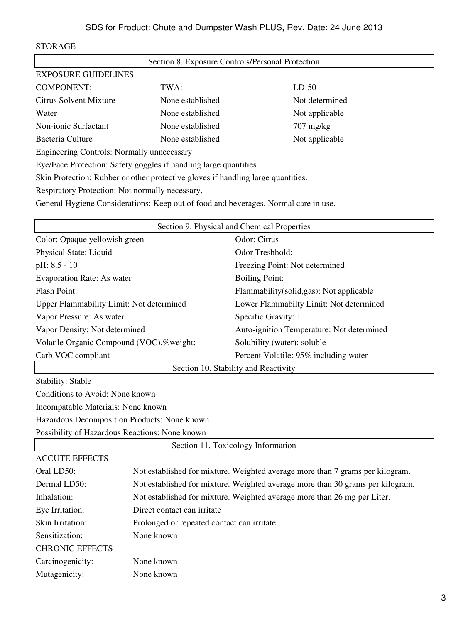## STORAGE

| Section 8. Exposure Controls/Personal Protection                                 |                  |                     |  |
|----------------------------------------------------------------------------------|------------------|---------------------|--|
| <b>EXPOSURE GUIDELINES</b>                                                       |                  |                     |  |
| <b>COMPONENT:</b>                                                                | TWA:             | $LD-50$             |  |
| Citrus Solvent Mixture                                                           | None established | Not determined      |  |
| Water                                                                            | None established | Not applicable      |  |
| Non-ionic Surfactant                                                             | None established | $707 \text{ mg/kg}$ |  |
| Bacteria Culture                                                                 | None established | Not applicable      |  |
| <b>Engineering Controls: Normally unnecessary</b>                                |                  |                     |  |
| Eye/Face Protection: Safety goggles if handling large quantities                 |                  |                     |  |
| Skin Protection: Rubber or other protective gloves if handling large quantities. |                  |                     |  |
| Respiratory Protection: Not normally necessary.                                  |                  |                     |  |

General Hygiene Considerations: Keep out of food and beverages. Normal care in use.

| Section 9. Physical and Chemical Properties    |  |                                                                                |
|------------------------------------------------|--|--------------------------------------------------------------------------------|
| Color: Opaque yellowish green                  |  | Odor: Citrus                                                                   |
| Physical State: Liquid                         |  | Odor Treshhold:                                                                |
| $pH: 8.5 - 10$                                 |  | Freezing Point: Not determined                                                 |
| Evaporation Rate: As water                     |  | <b>Boiling Point:</b>                                                          |
| <b>Flash Point:</b>                            |  | Flammability(solid,gas): Not applicable                                        |
| Upper Flammability Limit: Not determined       |  | Lower Flammabilty Limit: Not determined                                        |
| Vapor Pressure: As water                       |  | Specific Gravity: 1                                                            |
| Vapor Density: Not determined                  |  | Auto-ignition Temperature: Not determined                                      |
| Volatile Organic Compound (VOC),%weight:       |  | Solubility (water): soluble                                                    |
| Carb VOC compliant                             |  | Percent Volatile: 95% including water                                          |
|                                                |  | Section 10. Stability and Reactivity                                           |
| <b>Stability: Stable</b>                       |  |                                                                                |
| Conditions to Avoid: None known                |  |                                                                                |
| Incompatable Materials: None known             |  |                                                                                |
| Hazardous Decomposition Products: None known   |  |                                                                                |
| Possibility of Hazardous Reactions: None known |  |                                                                                |
| Section 11. Toxicology Information             |  |                                                                                |
| <b>ACCUTE EFFECTS</b>                          |  |                                                                                |
| Oral LD50:                                     |  | Not established for mixture. Weighted average more than 7 grams per kilogram.  |
| Dermal LD50:                                   |  | Not established for mixture. Weighted average more than 30 grams per kilogram. |
| Inhalation:                                    |  | Not established for mixture. Weighted average more than 26 mg per Liter.       |

| Eye Irritation: | Direct contact can irritate |
|-----------------|-----------------------------|
|                 |                             |

Skin Irritation: Prolonged or repeated contact can irritate Sensitization: None known CHRONIC EFFECTS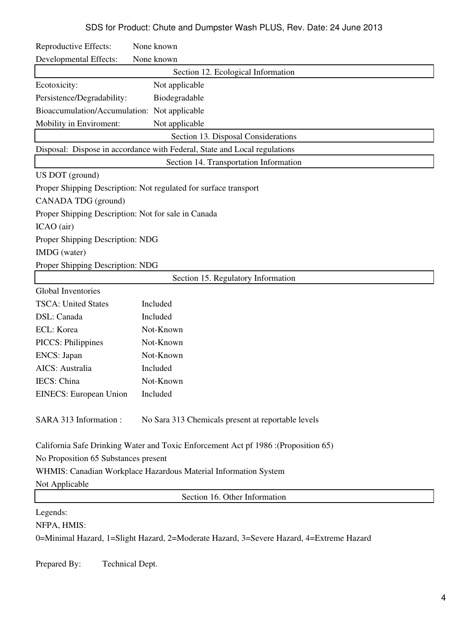SDS for Product: Chute and Dumpster Wash PLUS, Rev. Date: 24 June 2013

| Reproductive Effects:                                                              | None known                                                                |
|------------------------------------------------------------------------------------|---------------------------------------------------------------------------|
| <b>Developmental Effects:</b>                                                      | None known                                                                |
|                                                                                    | Section 12. Ecological Information                                        |
| Ecotoxicity:                                                                       | Not applicable                                                            |
| Persistence/Degradability:                                                         | Biodegradable                                                             |
| Bioaccumulation/Accumulation: Not applicable                                       |                                                                           |
| Mobility in Enviroment:                                                            | Not applicable                                                            |
|                                                                                    | Section 13. Disposal Considerations                                       |
|                                                                                    | Disposal: Dispose in accordance with Federal, State and Local regulations |
|                                                                                    | Section 14. Transportation Information                                    |
| US DOT (ground)                                                                    |                                                                           |
|                                                                                    | Proper Shipping Description: Not regulated for surface transport          |
| CANADA TDG (ground)                                                                |                                                                           |
| Proper Shipping Description: Not for sale in Canada                                |                                                                           |
| ICAO (air)                                                                         |                                                                           |
| Proper Shipping Description: NDG                                                   |                                                                           |
| IMDG (water)                                                                       |                                                                           |
| Proper Shipping Description: NDG                                                   |                                                                           |
|                                                                                    | Section 15. Regulatory Information                                        |
| Global Inventories                                                                 |                                                                           |
| <b>TSCA: United States</b>                                                         | Included                                                                  |
| DSL: Canada                                                                        | Included                                                                  |
| ECL: Korea                                                                         | Not-Known                                                                 |
| <b>PICCS: Philippines</b>                                                          | Not-Known                                                                 |
| <b>ENCS</b> : Japan                                                                | Not-Known                                                                 |
| AICS: Australia                                                                    | Included                                                                  |
| IECS: China                                                                        | Not-Known                                                                 |
| <b>EINECS:</b> European Union                                                      | Included                                                                  |
| SARA 313 Information:                                                              | No Sara 313 Chemicals present at reportable levels                        |
| California Safe Drinking Water and Toxic Enforcement Act pf 1986 :(Proposition 65) |                                                                           |
| No Proposition 65 Substances present                                               |                                                                           |
| WHMIS: Canadian Workplace Hazardous Material Information System                    |                                                                           |
| Not Applicable                                                                     |                                                                           |
| Section 16. Other Information                                                      |                                                                           |
| Legends:                                                                           |                                                                           |

NFPA, HMIS:

0=Minimal Hazard, 1=Slight Hazard, 2=Moderate Hazard, 3=Severe Hazard, 4=Extreme Hazard

Prepared By: Technical Dept.